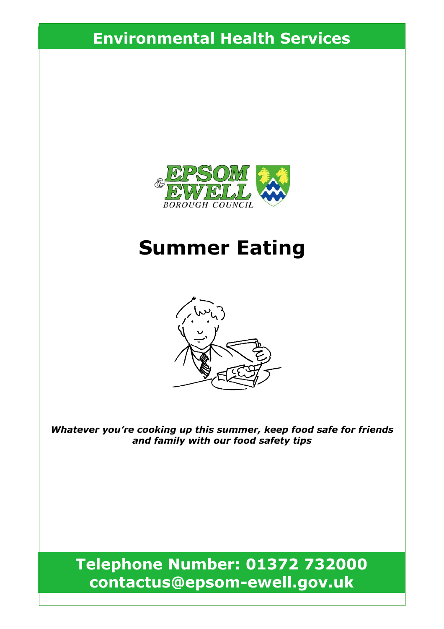## **Environmental Health Services**



# **Summer Eating**



*Whatever you're cooking up this summer, keep food safe for friends and family with our food safety tips*

**Telephone Number: 01372 732000 contactus@epsom-ewell.gov.uk**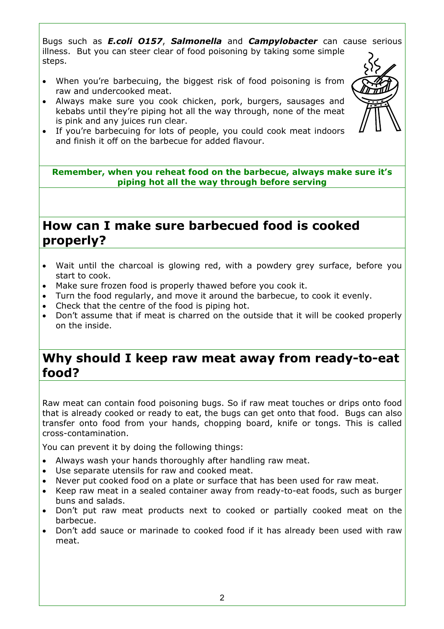Bugs such as *E.coli O157*, *Salmonella* and *Campylobacter* can cause serious illness. But you can steer clear of food poisoning by taking some simple steps.

- When you're barbecuing, the biggest risk of food poisoning is from raw and undercooked meat.
- Always make sure you cook chicken, pork, burgers, sausages and kebabs until they're piping hot all the way through, none of the meat is pink and any juices run clear.
- If you're barbecuing for lots of people, you could cook meat indoors and finish it off on the barbecue for added flavour.

**Remember, when you reheat food on the barbecue, always make sure it's piping hot all the way through before serving** 

#### **How can I make sure barbecued food is cooked properly?**

- Wait until the charcoal is glowing red, with a powdery grey surface, before you start to cook.
- Make sure frozen food is properly thawed before you cook it.
- Turn the food regularly, and move it around the barbecue, to cook it evenly.
- Check that the centre of the food is piping hot.
- Don't assume that if meat is charred on the outside that it will be cooked properly on the inside.

#### **Why should I keep raw meat away from ready-to-eat food?**

Raw meat can contain food poisoning bugs. So if raw meat touches or drips onto food that is already cooked or ready to eat, the bugs can get onto that food. Bugs can also transfer onto food from your hands, chopping board, knife or tongs. This is called cross-contamination.

You can prevent it by doing the following things:

- Always wash your hands thoroughly after handling raw meat.
- Use separate utensils for raw and cooked meat.
- Never put cooked food on a plate or surface that has been used for raw meat.
- Keep raw meat in a sealed container away from ready-to-eat foods, such as burger buns and salads.
- Don't put raw meat products next to cooked or partially cooked meat on the barbecue.
- Don't add sauce or marinade to cooked food if it has already been used with raw meat.